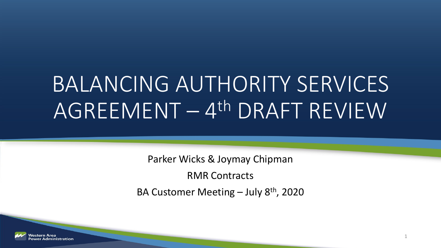# BALANCING AUTHORITY SERVICES AGREEMENT – 4th DRAFT REVIEW

Parker Wicks & Joymay Chipman

RMR Contracts

BA Customer Meeting  $-$  July 8<sup>th</sup>, 2020

1

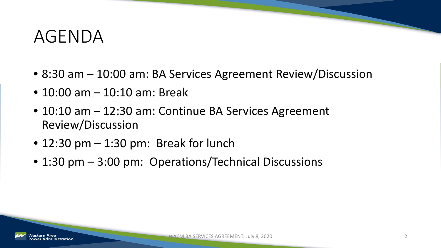#### AGENDA

- 8:30 am 10:00 am: BA Services Agreement Review/Discussion
- 10:00 am 10:10 am: Break
- 10:10 am 12:30 am: Continue BA Services Agreement Review/Discussion
- $\bullet$  12:30 pm  $-$  1:30 pm: Break for lunch
- 1:30 pm 3:00 pm: Operations/Technical Discussions

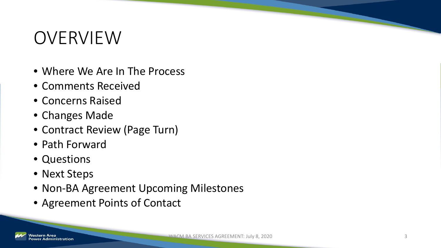## OVERVIEW

- Where We Are In The Process
- Comments Received
- Concerns Raised
- Changes Made
- Contract Review (Page Turn)
- Path Forward
- Questions
- Next Steps
- Non-BA Agreement Upcoming Milestones
- Agreement Points of Contact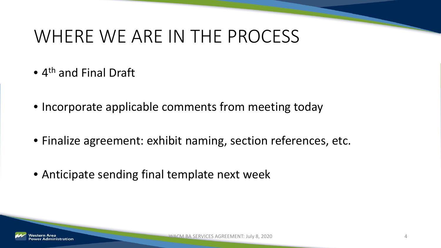## WHERE WE ARE IN THE PROCESS

- 4<sup>th</sup> and Final Draft
- Incorporate applicable comments from meeting today
- Finalize agreement: exhibit naming, section references, etc.
- Anticipate sending final template next week

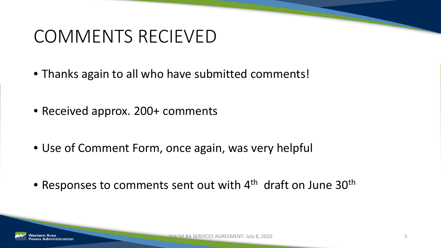## COMMENTS RECIEVED

- Thanks again to all who have submitted comments!
- Received approx. 200+ comments
- Use of Comment Form, once again, was very helpful
- Responses to comments sent out with 4<sup>th</sup> draft on June 30<sup>th</sup>

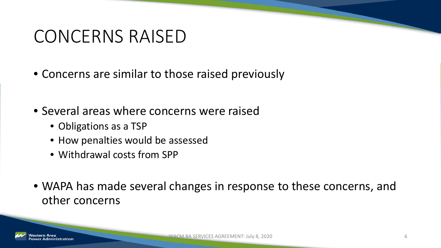## CONCERNS RAISED

- Concerns are similar to those raised previously
- Several areas where concerns were raised
	- Obligations as a TSP
	- How penalties would be assessed
	- Withdrawal costs from SPP
- WAPA has made several changes in response to these concerns, and other concerns

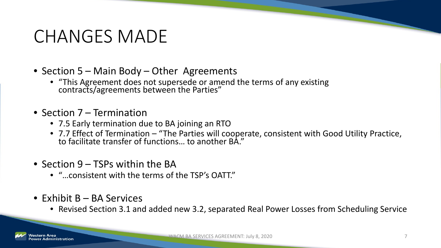- Section 5 Main Body Other Agreements
	- "This Agreement does not supersede or amend the terms of any existing contracts/agreements between the Parties"
- Section 7 Termination
	- 7.5 Early termination due to BA joining an RTO
	- 7.7 Effect of Termination "The Parties will cooperate, consistent with Good Utility Practice, to facilitate transfer of functions… to another BA."
- Section 9 TSPs within the BA
	- "…consistent with the terms of the TSP's OATT."
- Exhibit B BA Services
	- Revised Section 3.1 and added new 3.2, separated Real Power Losses from Scheduling Service

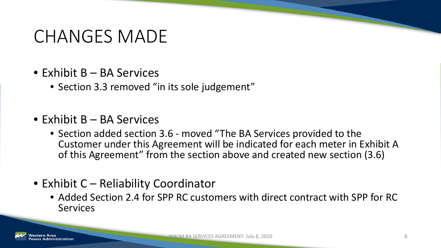- Exhibit B BA Services
	- Section 3.3 removed "in its sole judgement"
- Exhibit B BA Services
	- Section added section 3.6 moved "The BA Services provided to the Customer under this Agreement will be indicated for each meter in Exhibit A of this Agreement" from the section above and created new section (3.6)
- Exhibit C Reliability Coordinator
	- Added Section 2.4 for SPP RC customers with direct contract with SPP for RC **Services**

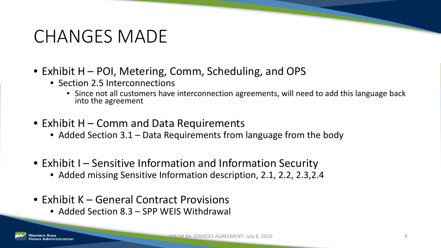- Exhibit H POI, Metering, Comm, Scheduling, and OPS
	- Section 2.5 Interconnections
		- Since not all customers have interconnection agreements, will need to add this language back into the agreement
- Exhibit H Comm and Data Requirements
	- Added Section 3.1 Data Requirements from language from the body
- Exhibit I Sensitive Information and Information Security
	- Added missing Sensitive Information description, 2.1, 2.2, 2.3,2.4
- Exhibit K General Contract Provisions
	- Added Section 8.3 SPP WEIS Withdrawal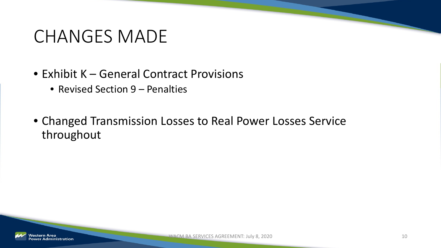- Exhibit K General Contract Provisions
	- Revised Section 9 Penalties
- Changed Transmission Losses to Real Power Losses Service throughout

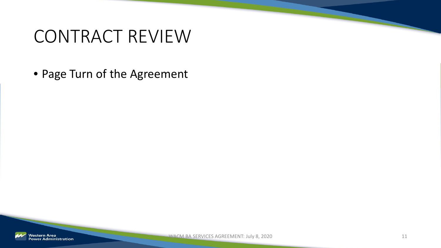## CONTRACT REVIEW

• Page Turn of the Agreement

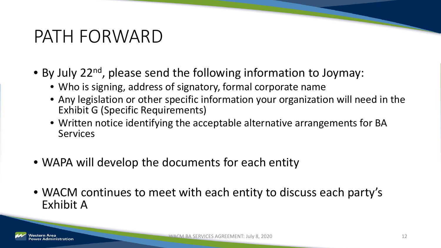## PATH FORWARD

- By July 22<sup>nd</sup>, please send the following information to Joymay:
	- Who is signing, address of signatory, formal corporate name
	- Any legislation or other specific information your organization will need in the Exhibit G (Specific Requirements)
	- Written notice identifying the acceptable alternative arrangements for BA **Services**
- WAPA will develop the documents for each entity
- WACM continues to meet with each entity to discuss each party's Exhibit A

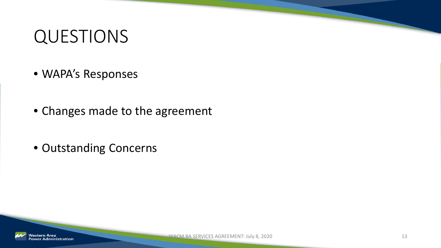## QUESTIONS

- WAPA's Responses
- Changes made to the agreement
- Outstanding Concerns

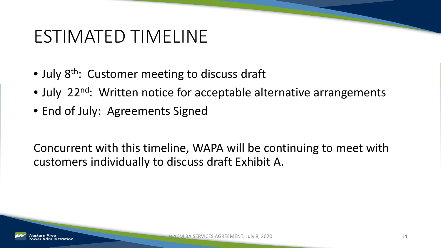## ESTIMATED TIMELINE

- July 8<sup>th</sup>: Customer meeting to discuss draft
- July 22<sup>nd</sup>: Written notice for acceptable alternative arrangements
- End of July: Agreements Signed

Concurrent with this timeline, WAPA will be continuing to meet with customers individually to discuss draft Exhibit A.

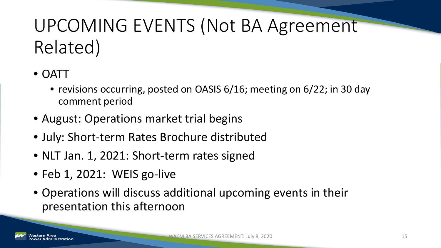## UPCOMING EVENTS (Not BA Agreement Related)

- OATT
	- revisions occurring, posted on OASIS 6/16; meeting on 6/22; in 30 day comment period
- August: Operations market trial begins
- July: Short-term Rates Brochure distributed
- NLT Jan. 1, 2021: Short-term rates signed
- Feb 1, 2021: WEIS go-live
- Operations will discuss additional upcoming events in their presentation this afternoon